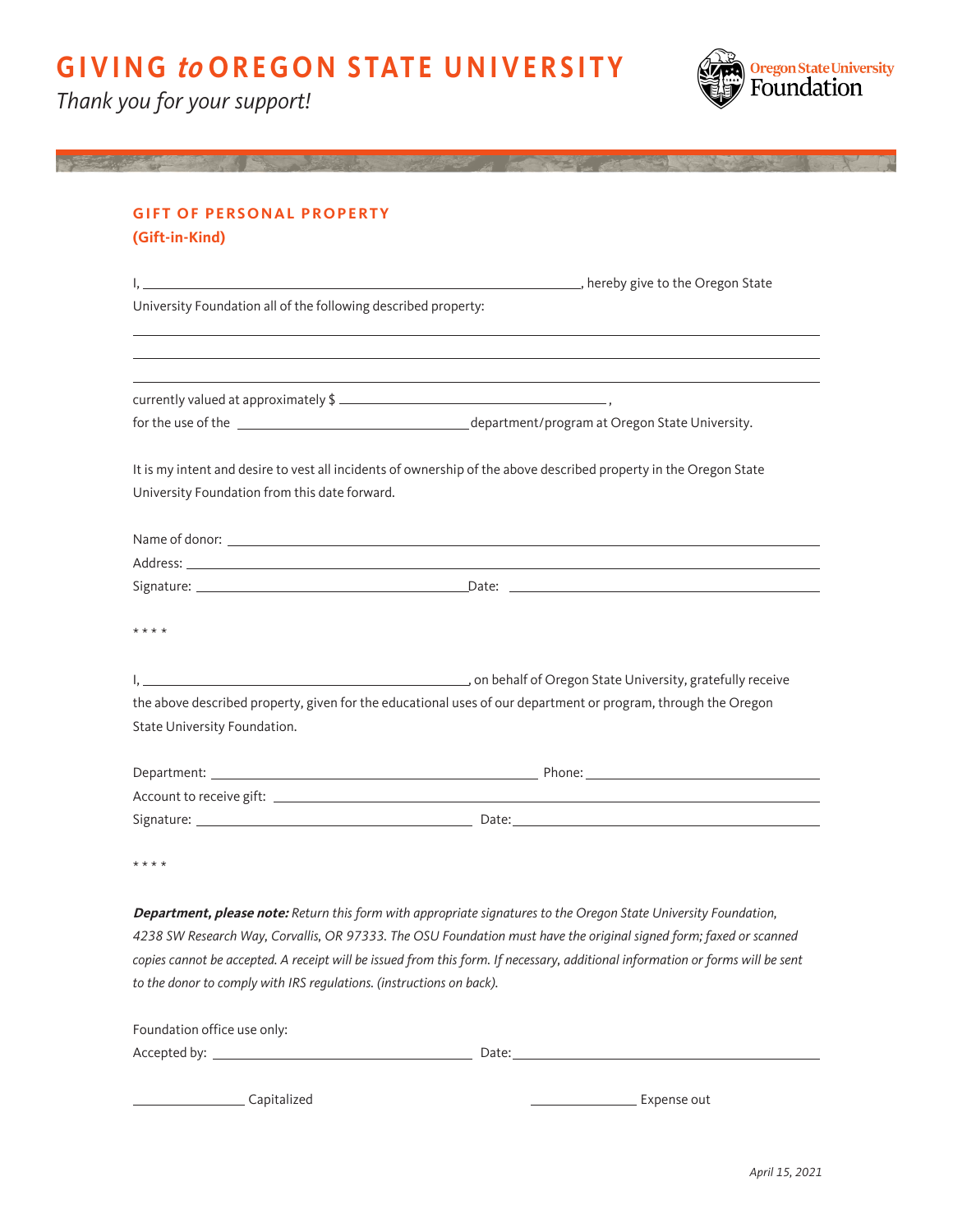Thank you for your support!



| University Foundation all of the following described property: | ,我们也不会有什么。""我们的人,我们也不会有什么?""我们的人,我们也不会有什么?""我们的人,我们的人,我们也不会有什么?""我们的人,我们的人,我们的人,我                                                                                                                                              |
|----------------------------------------------------------------|--------------------------------------------------------------------------------------------------------------------------------------------------------------------------------------------------------------------------------|
|                                                                |                                                                                                                                                                                                                                |
|                                                                |                                                                                                                                                                                                                                |
|                                                                |                                                                                                                                                                                                                                |
|                                                                | It is my intent and desire to vest all incidents of ownership of the above described property in the Oregon State                                                                                                              |
| University Foundation from this date forward.                  |                                                                                                                                                                                                                                |
|                                                                |                                                                                                                                                                                                                                |
|                                                                | Address: the contract of the contract of the contract of the contract of the contract of the contract of the contract of the contract of the contract of the contract of the contract of the contract of the contract of the c |
|                                                                |                                                                                                                                                                                                                                |
| * * * *                                                        |                                                                                                                                                                                                                                |
|                                                                |                                                                                                                                                                                                                                |
|                                                                | the above described property, given for the educational uses of our department or program, through the Oregon                                                                                                                  |
| State University Foundation.                                   |                                                                                                                                                                                                                                |
|                                                                |                                                                                                                                                                                                                                |
|                                                                |                                                                                                                                                                                                                                |
|                                                                |                                                                                                                                                                                                                                |

copies cannot be accepted. A receipt will be issued from this form. If necessary, additional information or forms will be sent to the donor to comply with IRS regulations. (instructions on back). Foundation office use only:

| Accepted by: | Date: |
|--------------|-------|
|              |       |

CapitalizedExpense out